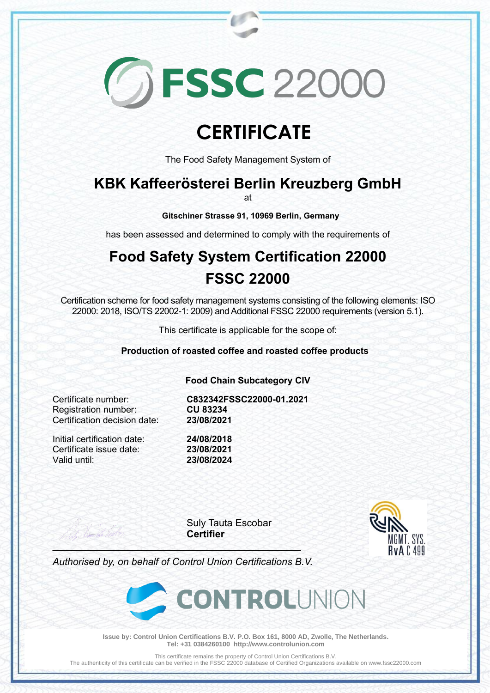# **GESSC 22000**

## **CERTIFICATE**

The Food Safety Management System of

### **KBK Kaffeerösterei Berlin Kreuzberg GmbH**

at

**Gitschiner Strasse 91, 10969 Berlin, Germany**

has been assessed and determined to comply with the requirements of

## **Food Safety System Certification 22000 FSSC 22000**

Certification scheme for food safety management systems consisting of the following elements: ISO 22000: 2018, ISO/TS 22002-1: 2009) and Additional FSSC 22000 requirements (version 5.1).

This certificate is applicable for the scope of:

**Production of roasted coffee and roasted coffee products**

**Food Chain Subcategory CIV**

**Registration number:** Certification decision date: **23/08/2021**

Certificate number: **C832342FSSC22000-01.2021**

Initial certification date: **24/08/2018** Certificate issue date: **23/08/2021** Valid until: **23/08/2024**

Suly Tauta Escobar **Certifier**



*Authorised by, on behalf of Control Union Certifications B.V.*

\_\_\_\_\_\_\_\_\_\_\_\_\_\_\_\_\_\_\_\_\_\_\_\_\_\_\_\_\_\_\_\_\_\_\_\_\_\_\_\_\_\_\_\_\_\_\_\_\_\_\_\_\_



**Issue by: Control Union Certifications B.V. P.O. Box 161, 8000 AD, Zwolle, The Netherlands. Tel: +31 0384260100 http://www.controlunion.com**

This certificate remains the property of Control Union Certifications B.V.

The authenticity of this certificate can be verified in the FSSC 22000 database of Certified Organizations available on www.fssc22000.com